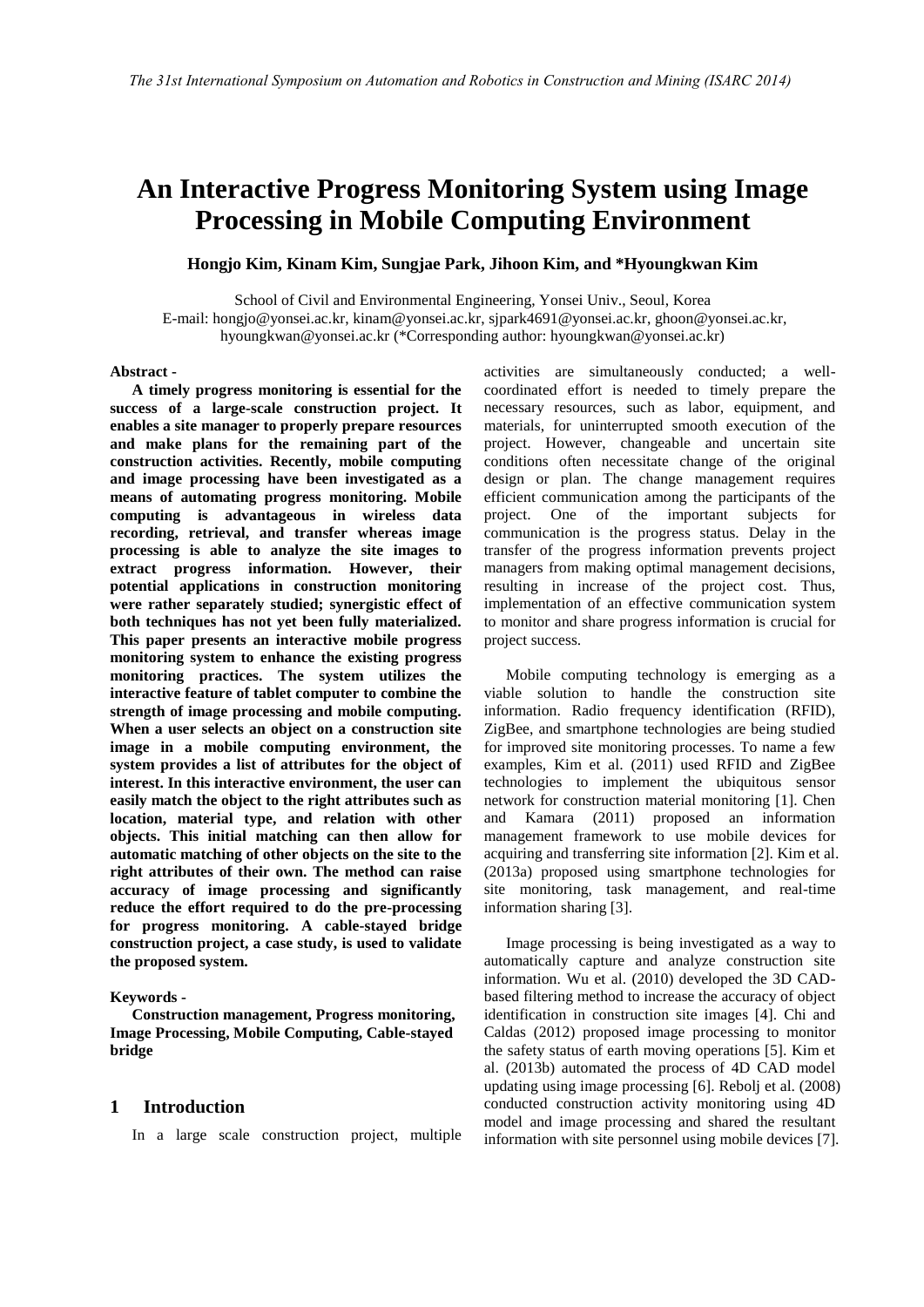# **An Interactive Progress Monitoring System using Image Processing in Mobile Computing Environment**

**Hongjo Kim, Kinam Kim, Sungjae Park, Jihoon Kim, and \*Hyoungkwan Kim**

School of Civil and Environmental Engineering, Yonsei Univ., Seoul, Korea E-mail: hongjo@yonsei.ac.kr, kinam@yonsei.ac.kr, sjpark4691@yonsei.ac.kr, ghoon@yonsei.ac.kr, hyoungkwan@yonsei.ac.kr (\*Corresponding author: hyoungkwan@yonsei.ac.kr)

#### **Abstract -**

**A timely progress monitoring is essential for the success of a large-scale construction project. It enables a site manager to properly prepare resources and make plans for the remaining part of the construction activities. Recently, mobile computing and image processing have been investigated as a means of automating progress monitoring. Mobile computing is advantageous in wireless data recording, retrieval, and transfer whereas image processing is able to analyze the site images to extract progress information. However, their potential applications in construction monitoring were rather separately studied; synergistic effect of both techniques has not yet been fully materialized. This paper presents an interactive mobile progress monitoring system to enhance the existing progress monitoring practices. The system utilizes the interactive feature of tablet computer to combine the strength of image processing and mobile computing. When a user selects an object on a construction site image in a mobile computing environment, the system provides a list of attributes for the object of interest. In this interactive environment, the user can easily match the object to the right attributes such as location, material type, and relation with other objects. This initial matching can then allow for automatic matching of other objects on the site to the right attributes of their own. The method can raise accuracy of image processing and significantly reduce the effort required to do the pre-processing for progress monitoring. A cable-stayed bridge construction project, a case study, is used to validate the proposed system.**

#### **Keywords -**

**Construction management, Progress monitoring, Image Processing, Mobile Computing, Cable-stayed bridge**

## **1 Introduction**

In a large scale construction project, multiple

activities are simultaneously conducted; a wellcoordinated effort is needed to timely prepare the necessary resources, such as labor, equipment, and materials, for uninterrupted smooth execution of the project. However, changeable and uncertain site conditions often necessitate change of the original design or plan. The change management requires efficient communication among the participants of the project. One of the important subjects for communication is the progress status. Delay in the transfer of the progress information prevents project managers from making optimal management decisions, resulting in increase of the project cost. Thus, implementation of an effective communication system to monitor and share progress information is crucial for project success.

Mobile computing technology is emerging as a viable solution to handle the construction site information. Radio frequency identification (RFID), ZigBee, and smartphone technologies are being studied for improved site monitoring processes. To name a few examples, Kim et al. (2011) used RFID and ZigBee technologies to implement the ubiquitous sensor network for construction material monitoring [1]. Chen and Kamara (2011) proposed an information management framework to use mobile devices for acquiring and transferring site information [2]. Kim et al. (2013a) proposed using smartphone technologies for site monitoring, task management, and real-time information sharing [3].

Image processing is being investigated as a way to automatically capture and analyze construction site information. Wu et al. (2010) developed the 3D CADbased filtering method to increase the accuracy of object identification in construction site images [4]. Chi and Caldas (2012) proposed image processing to monitor the safety status of earth moving operations [5]. Kim et al. (2013b) automated the process of 4D CAD model updating using image processing [6]. Rebolj et al. (2008) conducted construction activity monitoring using 4D model and image processing and shared the resultant information with site personnel using mobile devices [7].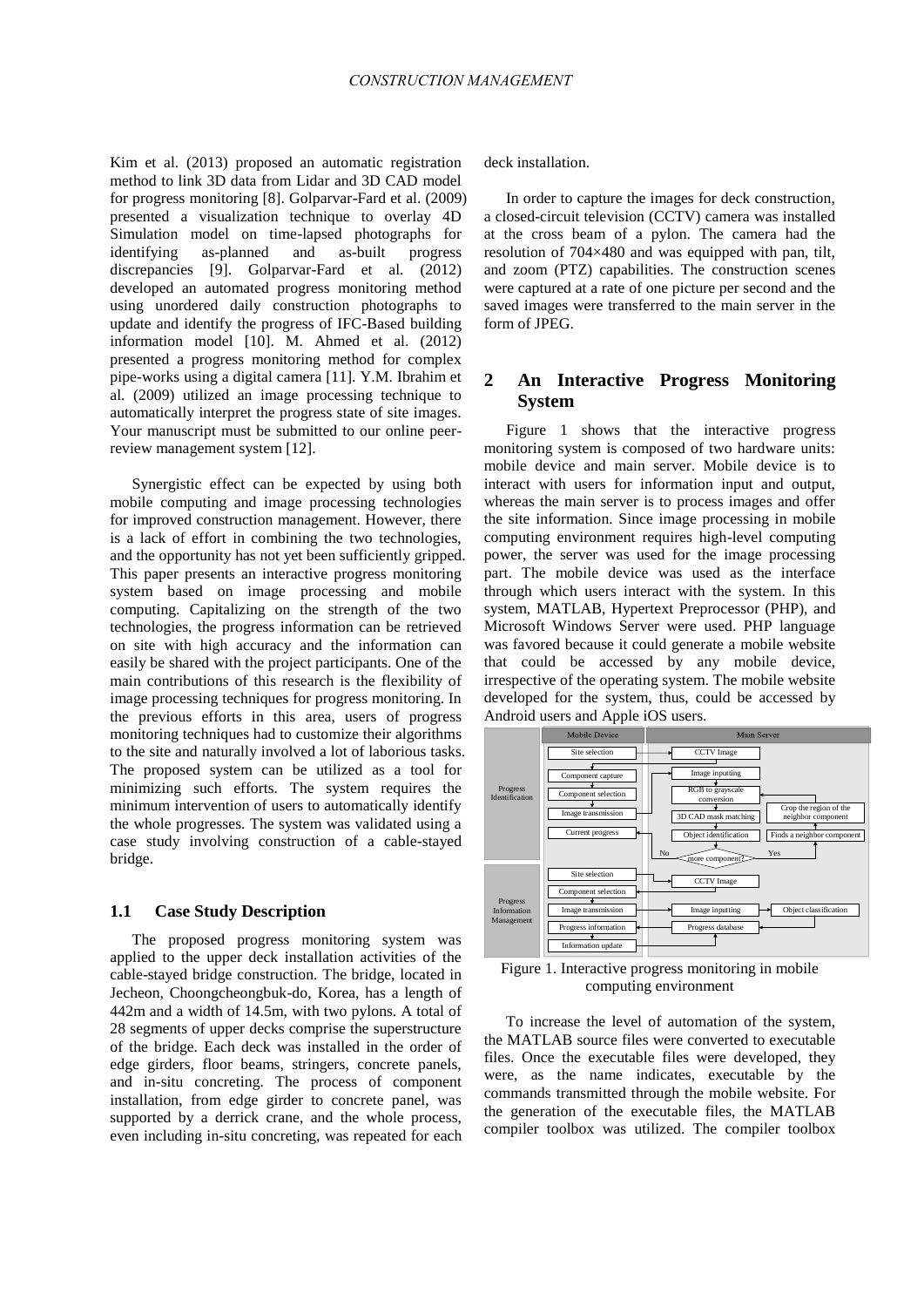Kim et al. (2013) proposed an automatic registration method to link 3D data from Lidar and 3D CAD model for progress monitoring [8]. Golparvar-Fard et al. (2009) presented a visualization technique to overlay 4D Simulation model on time-lapsed photographs for identifying as-planned and as-built progress discrepancies [9]. Golparvar-Fard et al. (2012) developed an automated progress monitoring method using unordered daily construction photographs to update and identify the progress of IFC-Based building information model [10]. M. Ahmed et al. (2012) presented a progress monitoring method for complex pipe-works using a digital camera [11]. Y.M. Ibrahim et al. (2009) utilized an image processing technique to automatically interpret the progress state of site images. Your manuscript must be submitted to our online peerreview management system [12].

Synergistic effect can be expected by using both mobile computing and image processing technologies for improved construction management. However, there is a lack of effort in combining the two technologies, and the opportunity has not yet been sufficiently gripped. This paper presents an interactive progress monitoring system based on image processing and mobile computing. Capitalizing on the strength of the two technologies, the progress information can be retrieved on site with high accuracy and the information can easily be shared with the project participants. One of the main contributions of this research is the flexibility of image processing techniques for progress monitoring. In the previous efforts in this area, users of progress monitoring techniques had to customize their algorithms to the site and naturally involved a lot of laborious tasks. The proposed system can be utilized as a tool for minimizing such efforts. The system requires the minimum intervention of users to automatically identify the whole progresses. The system was validated using a case study involving construction of a cable-stayed bridge.

#### **1.1 Case Study Description**

The proposed progress monitoring system was applied to the upper deck installation activities of the cable-stayed bridge construction. The bridge, located in Jecheon, Choongcheongbuk-do, Korea, has a length of 442m and a width of 14.5m, with two pylons. A total of 28 segments of upper decks comprise the superstructure of the bridge. Each deck was installed in the order of edge girders, floor beams, stringers, concrete panels, and in-situ concreting. The process of component installation, from edge girder to concrete panel, was supported by a derrick crane, and the whole process, even including in-situ concreting, was repeated for each

deck installation.

In order to capture the images for deck construction, a closed-circuit television (CCTV) camera was installed at the cross beam of a pylon. The camera had the resolution of 704×480 and was equipped with pan, tilt, and zoom (PTZ) capabilities. The construction scenes were captured at a rate of one picture per second and the saved images were transferred to the main server in the form of JPEG.

# **2 An Interactive Progress Monitoring System**

Figure 1 shows that the interactive progress monitoring system is composed of two hardware units: mobile device and main server. Mobile device is to interact with users for information input and output, whereas the main server is to process images and offer the site information. Since image processing in mobile computing environment requires high-level computing power, the server was used for the image processing part. The mobile device was used as the interface through which users interact with the system. In this system, MATLAB, Hypertext Preprocessor (PHP), and Microsoft Windows Server were used. PHP language was favored because it could generate a mobile website that could be accessed by any mobile device, irrespective of the operating system. The mobile website developed for the system, thus, could be accessed by Android users and Apple iOS users.



Figure 1. Interactive progress monitoring in mobile computing environment

To increase the level of automation of the system, the MATLAB source files were converted to executable files. Once the executable files were developed, they were, as the name indicates, executable by the commands transmitted through the mobile website. For the generation of the executable files, the MATLAB compiler toolbox was utilized. The compiler toolbox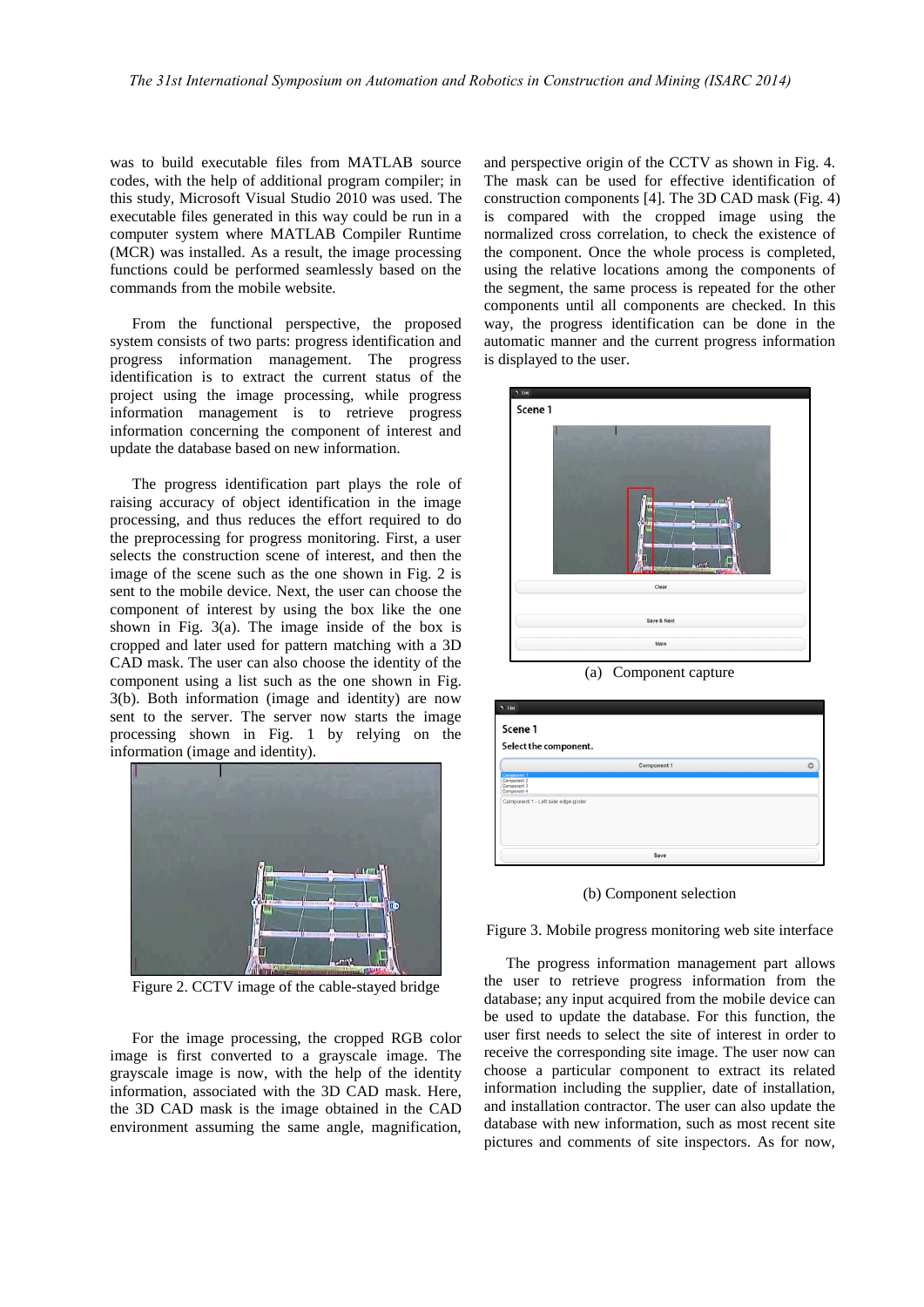was to build executable files from MATLAB source codes, with the help of additional program compiler; in this study, Microsoft Visual Studio 2010 was used. The executable files generated in this way could be run in a computer system where MATLAB Compiler Runtime (MCR) was installed. As a result, the image processing functions could be performed seamlessly based on the commands from the mobile website.

From the functional perspective, the proposed system consists of two parts: progress identification and progress information management. The progress identification is to extract the current status of the project using the image processing, while progress information management is to retrieve progress information concerning the component of interest and update the database based on new information.

The progress identification part plays the role of raising accuracy of object identification in the image processing, and thus reduces the effort required to do the preprocessing for progress monitoring. First, a user selects the construction scene of interest, and then the image of the scene such as the one shown in Fig. 2 is sent to the mobile device. Next, the user can choose the component of interest by using the box like the one shown in Fig. 3(a). The image inside of the box is cropped and later used for pattern matching with a 3D CAD mask. The user can also choose the identity of the component using a list such as the one shown in Fig. 3(b). Both information (image and identity) are now sent to the server. The server now starts the image processing shown in Fig. 1 by relying on the information (image and identity).



Figure 2. CCTV image of the cable-stayed bridge

For the image processing, the cropped RGB color image is first converted to a grayscale image. The grayscale image is now, with the help of the identity information, associated with the 3D CAD mask. Here, the 3D CAD mask is the image obtained in the CAD environment assuming the same angle, magnification, and perspective origin of the CCTV as shown in Fig. 4. The mask can be used for effective identification of construction components [4]. The 3D CAD mask (Fig. 4) is compared with the cropped image using the normalized cross correlation, to check the existence of the component. Once the whole process is completed, using the relative locations among the components of the segment, the same process is repeated for the other components until all components are checked. In this way, the progress identification can be done in the automatic manner and the current progress information is displayed to the user.



(a) Component capture

| Scene 1                                                  |             |         |
|----------------------------------------------------------|-------------|---------|
| Select the component.                                    |             |         |
|                                                          | Component 1 | $\circ$ |
| Component 1<br>Component 2<br>Component 3<br>Component 4 |             |         |
| Component 1 - Left side edge girder                      |             |         |
|                                                          |             |         |
|                                                          |             |         |
|                                                          |             |         |

(b) Component selection

Figure 3. Mobile progress monitoring web site interface

The progress information management part allows the user to retrieve progress information from the database; any input acquired from the mobile device can be used to update the database. For this function, the user first needs to select the site of interest in order to receive the corresponding site image. The user now can choose a particular component to extract its related information including the supplier, date of installation, and installation contractor. The user can also update the database with new information, such as most recent site pictures and comments of site inspectors. As for now,